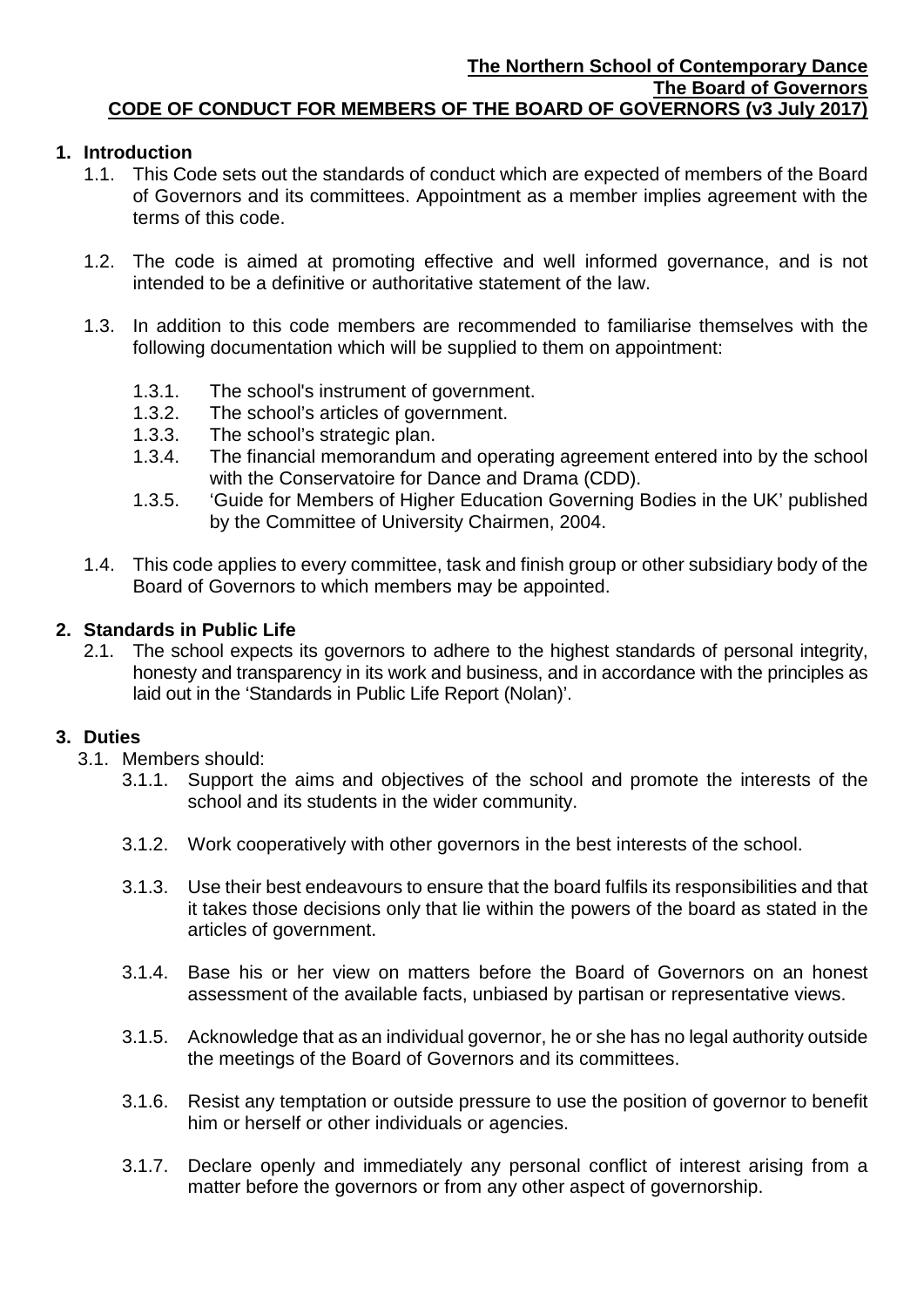## **1. Introduction**

- 1.1. This Code sets out the standards of conduct which are expected of members of the Board of Governors and its committees. Appointment as a member implies agreement with the terms of this code.
- 1.2. The code is aimed at promoting effective and well informed governance, and is not intended to be a definitive or authoritative statement of the law.
- 1.3. In addition to this code members are recommended to familiarise themselves with the following documentation which will be supplied to them on appointment:
	- 1.3.1. The school's instrument of government.
	- 1.3.2. The school's articles of government.<br>1.3.3. The school's strategic plan.
	- The school's strategic plan.
	- 1.3.4. The financial memorandum and operating agreement entered into by the school with the Conservatoire for Dance and Drama (CDD).
	- 1.3.5. 'Guide for Members of Higher Education Governing Bodies in the UK' published by the Committee of University Chairmen, 2004.
- 1.4. This code applies to every committee, task and finish group or other subsidiary body of the Board of Governors to which members may be appointed.

#### **2. Standards in Public Life**

2.1. The school expects its governors to adhere to the highest standards of personal integrity, honesty and transparency in its work and business, and in accordance with the principles as laid out in the 'Standards in Public Life Report (Nolan)'.

#### **3. Duties**

- 3.1. Members should:
	- 3.1.1. Support the aims and objectives of the school and promote the interests of the school and its students in the wider community.
	- 3.1.2. Work cooperatively with other governors in the best interests of the school.
	- 3.1.3. Use their best endeavours to ensure that the board fulfils its responsibilities and that it takes those decisions only that lie within the powers of the board as stated in the articles of government.
	- 3.1.4. Base his or her view on matters before the Board of Governors on an honest assessment of the available facts, unbiased by partisan or representative views.
	- 3.1.5. Acknowledge that as an individual governor, he or she has no legal authority outside the meetings of the Board of Governors and its committees.
	- 3.1.6. Resist any temptation or outside pressure to use the position of governor to benefit him or herself or other individuals or agencies.
	- 3.1.7. Declare openly and immediately any personal conflict of interest arising from a matter before the governors or from any other aspect of governorship.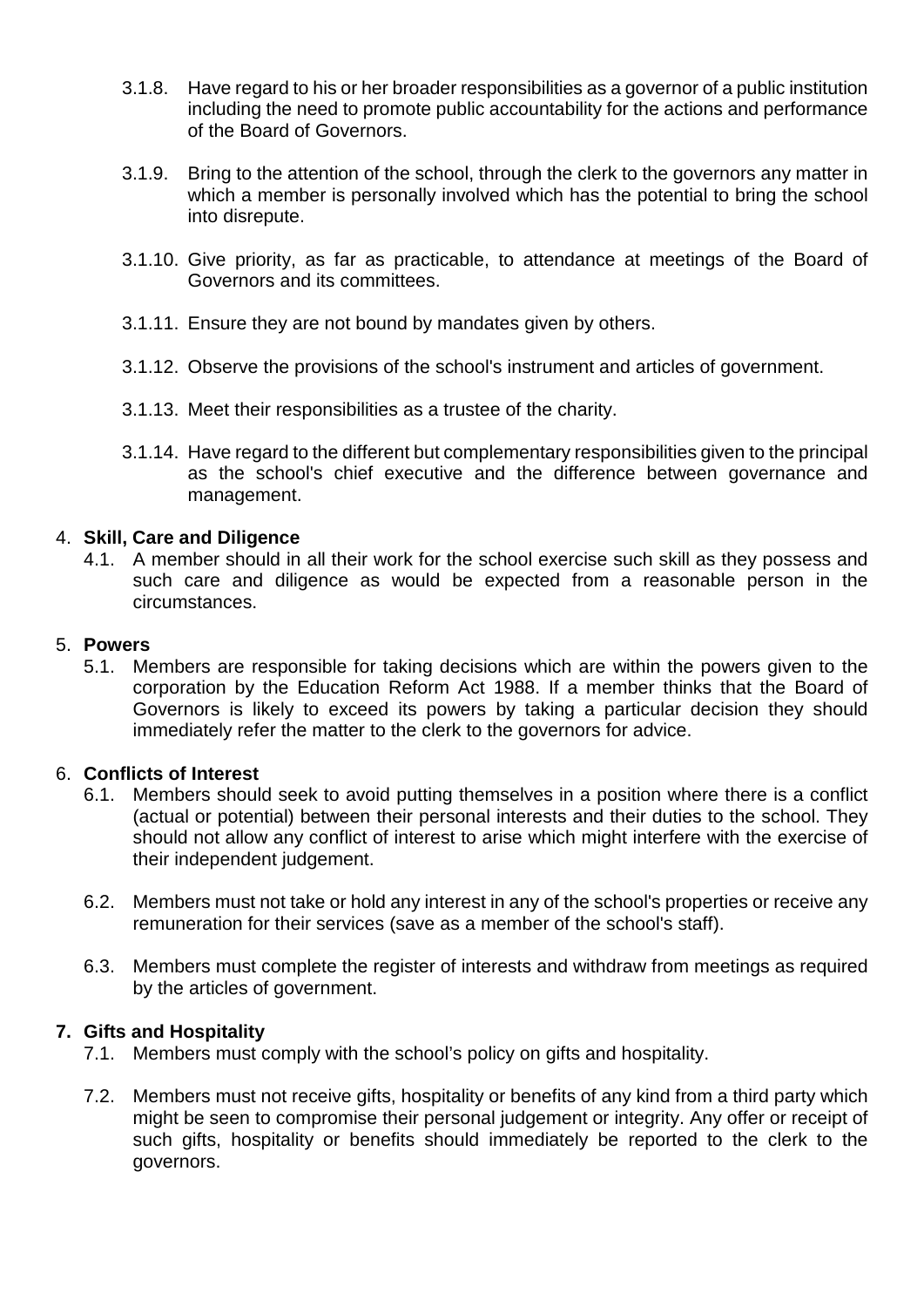- 3.1.8. Have regard to his or her broader responsibilities as a governor of a public institution including the need to promote public accountability for the actions and performance of the Board of Governors.
- 3.1.9. Bring to the attention of the school, through the clerk to the governors any matter in which a member is personally involved which has the potential to bring the school into disrepute.
- 3.1.10. Give priority, as far as practicable, to attendance at meetings of the Board of Governors and its committees.
- 3.1.11. Ensure they are not bound by mandates given by others.
- 3.1.12. Observe the provisions of the school's instrument and articles of government.
- 3.1.13. Meet their responsibilities as a trustee of the charity.
- 3.1.14. Have regard to the different but complementary responsibilities given to the principal as the school's chief executive and the difference between governance and management.

## 4. **Skill, Care and Diligence**

4.1. A member should in all their work for the school exercise such skill as they possess and such care and diligence as would be expected from a reasonable person in the circumstances.

### 5. **Powers**

5.1. Members are responsible for taking decisions which are within the powers given to the corporation by the Education Reform Act 1988. If a member thinks that the Board of Governors is likely to exceed its powers by taking a particular decision they should immediately refer the matter to the clerk to the governors for advice.

#### 6. **Conflicts of Interest**

- 6.1. Members should seek to avoid putting themselves in a position where there is a conflict (actual or potential) between their personal interests and their duties to the school. They should not allow any conflict of interest to arise which might interfere with the exercise of their independent judgement.
- 6.2. Members must not take or hold any interest in any of the school's properties or receive any remuneration for their services (save as a member of the school's staff).
- 6.3. Members must complete the register of interests and withdraw from meetings as required by the articles of government.

#### **7. Gifts and Hospitality**

- 7.1. Members must comply with the school's policy on gifts and hospitality.
- 7.2. Members must not receive gifts, hospitality or benefits of any kind from a third party which might be seen to compromise their personal judgement or integrity. Any offer or receipt of such gifts, hospitality or benefits should immediately be reported to the clerk to the governors.